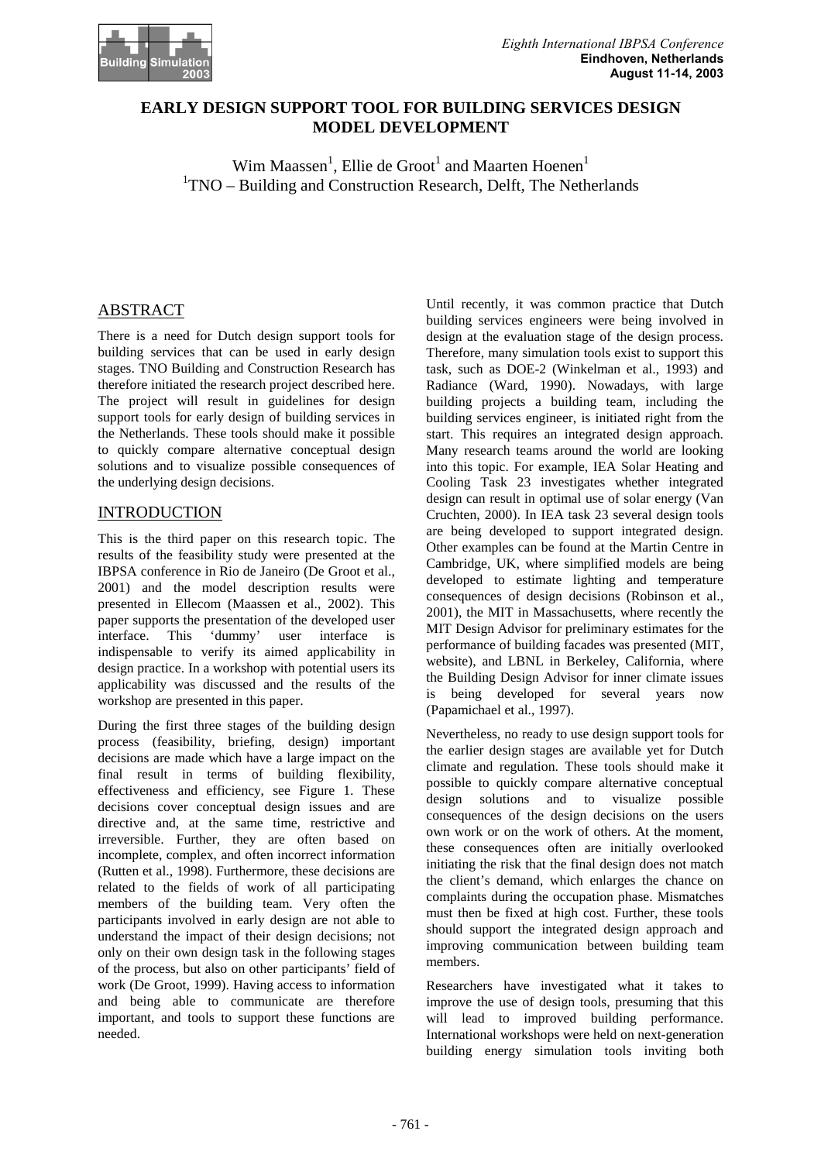

### **EARLY DESIGN SUPPORT TOOL FOR BUILDING SERVICES DESIGN MODEL DEVELOPMENT**

 $\text{Wim Maassen}^1, \text{Ellie de Groot}^1 \text{ and Maarten Hoenen}^1$ <sup>1</sup>TNO – Building and Construction Research, Delft, The Netherlands

# ABSTRACT

There is a need for Dutch design support tools for building services that can be used in early design stages. TNO Building and Construction Research has therefore initiated the research project described here. The project will result in guidelines for design support tools for early design of building services in the Netherlands. These tools should make it possible to quickly compare alternative conceptual design solutions and to visualize possible consequences of the underlying design decisions.

### INTRODUCTION

This is the third paper on this research topic. The results of the feasibility study were presented at the IBPSA conference in Rio de Janeiro (De Groot et al., 2001) and the model description results were presented in Ellecom (Maassen et al., 2002). This paper supports the presentation of the developed user<br>interface. This 'dummy' user interface is interface. This 'dummy' user interface is indispensable to verify its aimed applicability in design practice. In a workshop with potential users its applicability was discussed and the results of the workshop are presented in this paper.

During the first three stages of the building design process (feasibility, briefing, design) important decisions are made which have a large impact on the final result in terms of building flexibility, effectiveness and efficiency, see Figure 1. These decisions cover conceptual design issues and are directive and, at the same time, restrictive and irreversible. Further, they are often based on incomplete, complex, and often incorrect information (Rutten et al., 1998). Furthermore, these decisions are related to the fields of work of all participating members of the building team. Very often the participants involved in early design are not able to understand the impact of their design decisions; not only on their own design task in the following stages of the process, but also on other participants' field of work (De Groot, 1999). Having access to information and being able to communicate are therefore important, and tools to support these functions are needed.

Until recently, it was common practice that Dutch building services engineers were being involved in design at the evaluation stage of the design process. Therefore, many simulation tools exist to support this task, such as DOE-2 (Winkelman et al., 1993) and Radiance (Ward, 1990). Nowadays, with large building projects a building team, including the building services engineer, is initiated right from the start. This requires an integrated design approach. Many research teams around the world are looking into this topic. For example, IEA Solar Heating and Cooling Task 23 investigates whether integrated design can result in optimal use of solar energy (Van Cruchten, 2000). In IEA task 23 several design tools are being developed to support integrated design. Other examples can be found at the Martin Centre in Cambridge, UK, where simplified models are being developed to estimate lighting and temperature consequences of design decisions (Robinson et al., 2001), the MIT in Massachusetts, where recently the MIT Design Advisor for preliminary estimates for the performance of building facades was presented (MIT, website), and LBNL in Berkeley, California, where the Building Design Advisor for inner climate issues is being developed for several years now (Papamichael et al., 1997).

Nevertheless, no ready to use design support tools for the earlier design stages are available yet for Dutch climate and regulation. These tools should make it possible to quickly compare alternative conceptual design solutions and to visualize possible consequences of the design decisions on the users own work or on the work of others. At the moment, these consequences often are initially overlooked initiating the risk that the final design does not match the client's demand, which enlarges the chance on complaints during the occupation phase. Mismatches must then be fixed at high cost. Further, these tools should support the integrated design approach and improving communication between building team members.

Researchers have investigated what it takes to improve the use of design tools, presuming that this will lead to improved building performance. International workshops were held on next-generation building energy simulation tools inviting both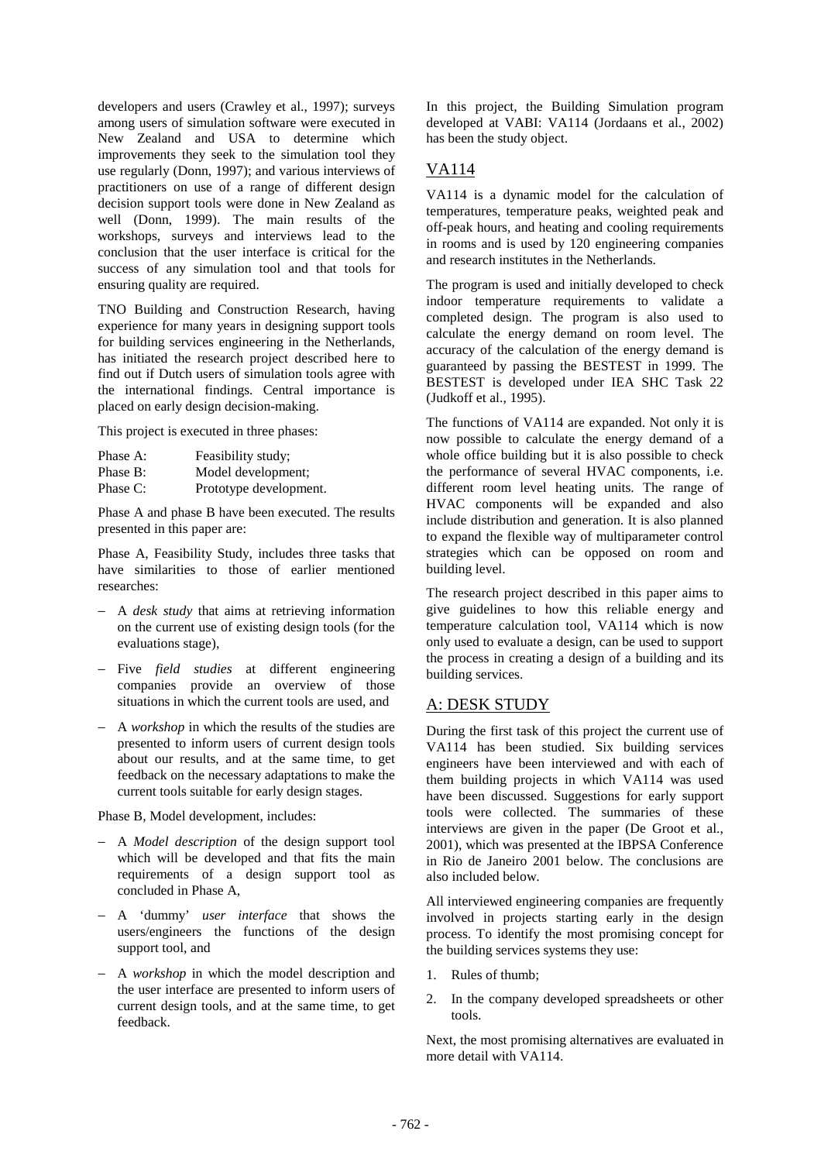developers and users (Crawley et al., 1997); surveys among users of simulation software were executed in New Zealand and USA to determine which improvements they seek to the simulation tool they use regularly (Donn, 1997); and various interviews of practitioners on use of a range of different design decision support tools were done in New Zealand as well (Donn, 1999). The main results of the workshops, surveys and interviews lead to the conclusion that the user interface is critical for the success of any simulation tool and that tools for ensuring quality are required.

TNO Building and Construction Research, having experience for many years in designing support tools for building services engineering in the Netherlands, has initiated the research project described here to find out if Dutch users of simulation tools agree with the international findings. Central importance is placed on early design decision-making.

This project is executed in three phases:

| Phase A: | Feasibility study;     |
|----------|------------------------|
| Phase B: | Model development;     |
| Phase C: | Prototype development. |

Phase A and phase B have been executed. The results presented in this paper are:

Phase A, Feasibility Study, includes three tasks that have similarities to those of earlier mentioned researches:

- − A *desk study* that aims at retrieving information on the current use of existing design tools (for the evaluations stage),
- − Five *field studies* at different engineering companies provide an overview of those situations in which the current tools are used, and
- − A *workshop* in which the results of the studies are presented to inform users of current design tools about our results, and at the same time, to get feedback on the necessary adaptations to make the current tools suitable for early design stages.

Phase B, Model development, includes:

- − A *Model description* of the design support tool which will be developed and that fits the main requirements of a design support tool as concluded in Phase A,
- − A 'dummy' *user interface* that shows the users/engineers the functions of the design support tool, and
- − A *workshop* in which the model description and the user interface are presented to inform users of current design tools, and at the same time, to get feedback.

In this project, the Building Simulation program developed at VABI: VA114 (Jordaans et al., 2002) has been the study object.

# VA114

VA114 is a dynamic model for the calculation of temperatures, temperature peaks, weighted peak and off-peak hours, and heating and cooling requirements in rooms and is used by 120 engineering companies and research institutes in the Netherlands.

The program is used and initially developed to check indoor temperature requirements to validate a completed design. The program is also used to calculate the energy demand on room level. The accuracy of the calculation of the energy demand is guaranteed by passing the BESTEST in 1999. The BESTEST is developed under IEA SHC Task 22 (Judkoff et al., 1995).

The functions of VA114 are expanded. Not only it is now possible to calculate the energy demand of a whole office building but it is also possible to check the performance of several HVAC components, i.e. different room level heating units. The range of HVAC components will be expanded and also include distribution and generation. It is also planned to expand the flexible way of multiparameter control strategies which can be opposed on room and building level.

The research project described in this paper aims to give guidelines to how this reliable energy and temperature calculation tool, VA114 which is now only used to evaluate a design, can be used to support the process in creating a design of a building and its building services.

## A: DESK STUDY

During the first task of this project the current use of VA114 has been studied. Six building services engineers have been interviewed and with each of them building projects in which VA114 was used have been discussed. Suggestions for early support tools were collected. The summaries of these interviews are given in the paper (De Groot et al., 2001), which was presented at the IBPSA Conference in Rio de Janeiro 2001 below. The conclusions are also included below.

All interviewed engineering companies are frequently involved in projects starting early in the design process. To identify the most promising concept for the building services systems they use:

- 1. Rules of thumb;
- 2. In the company developed spreadsheets or other tools.

Next, the most promising alternatives are evaluated in more detail with VA114.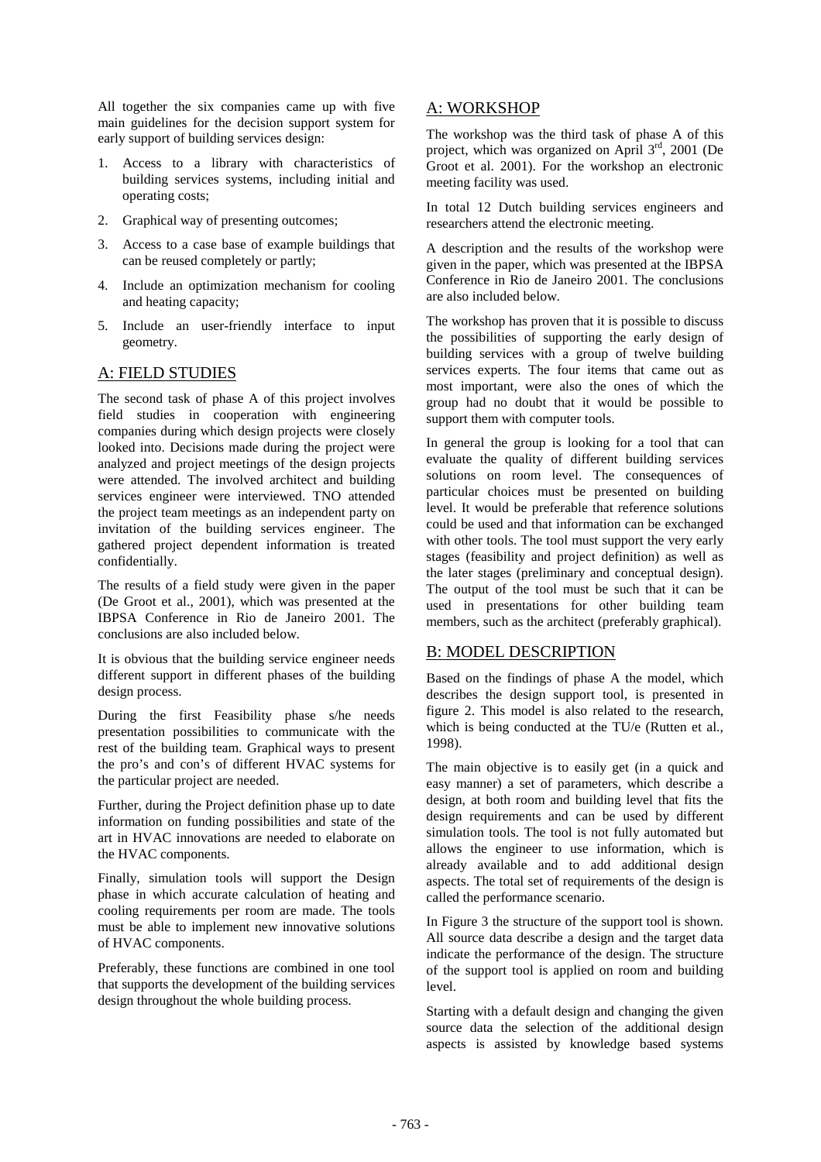All together the six companies came up with five main guidelines for the decision support system for early support of building services design:

- 1. Access to a library with characteristics of building services systems, including initial and operating costs;
- 2. Graphical way of presenting outcomes;
- 3. Access to a case base of example buildings that can be reused completely or partly;
- 4. Include an optimization mechanism for cooling and heating capacity;
- 5. Include an user-friendly interface to input geometry.

### A: FIELD STUDIES

The second task of phase A of this project involves field studies in cooperation with engineering companies during which design projects were closely looked into. Decisions made during the project were analyzed and project meetings of the design projects were attended. The involved architect and building services engineer were interviewed. TNO attended the project team meetings as an independent party on invitation of the building services engineer. The gathered project dependent information is treated confidentially.

The results of a field study were given in the paper (De Groot et al., 2001), which was presented at the IBPSA Conference in Rio de Janeiro 2001. The conclusions are also included below.

It is obvious that the building service engineer needs different support in different phases of the building design process.

During the first Feasibility phase s/he needs presentation possibilities to communicate with the rest of the building team. Graphical ways to present the pro's and con's of different HVAC systems for the particular project are needed.

Further, during the Project definition phase up to date information on funding possibilities and state of the art in HVAC innovations are needed to elaborate on the HVAC components.

Finally, simulation tools will support the Design phase in which accurate calculation of heating and cooling requirements per room are made. The tools must be able to implement new innovative solutions of HVAC components.

Preferably, these functions are combined in one tool that supports the development of the building services design throughout the whole building process.

### A: WORKSHOP

The workshop was the third task of phase A of this project, which was organized on April 3rd, 2001 (De Groot et al. 2001). For the workshop an electronic meeting facility was used.

In total 12 Dutch building services engineers and researchers attend the electronic meeting.

A description and the results of the workshop were given in the paper, which was presented at the IBPSA Conference in Rio de Janeiro 2001. The conclusions are also included below.

The workshop has proven that it is possible to discuss the possibilities of supporting the early design of building services with a group of twelve building services experts. The four items that came out as most important, were also the ones of which the group had no doubt that it would be possible to support them with computer tools.

In general the group is looking for a tool that can evaluate the quality of different building services solutions on room level. The consequences of particular choices must be presented on building level. It would be preferable that reference solutions could be used and that information can be exchanged with other tools. The tool must support the very early stages (feasibility and project definition) as well as the later stages (preliminary and conceptual design). The output of the tool must be such that it can be used in presentations for other building team members, such as the architect (preferably graphical).

### B: MODEL DESCRIPTION

Based on the findings of phase A the model, which describes the design support tool, is presented in figure 2. This model is also related to the research, which is being conducted at the TU/e (Rutten et al., 1998).

The main objective is to easily get (in a quick and easy manner) a set of parameters, which describe a design, at both room and building level that fits the design requirements and can be used by different simulation tools. The tool is not fully automated but allows the engineer to use information, which is already available and to add additional design aspects. The total set of requirements of the design is called the performance scenario.

In Figure 3 the structure of the support tool is shown. All source data describe a design and the target data indicate the performance of the design. The structure of the support tool is applied on room and building level.

Starting with a default design and changing the given source data the selection of the additional design aspects is assisted by knowledge based systems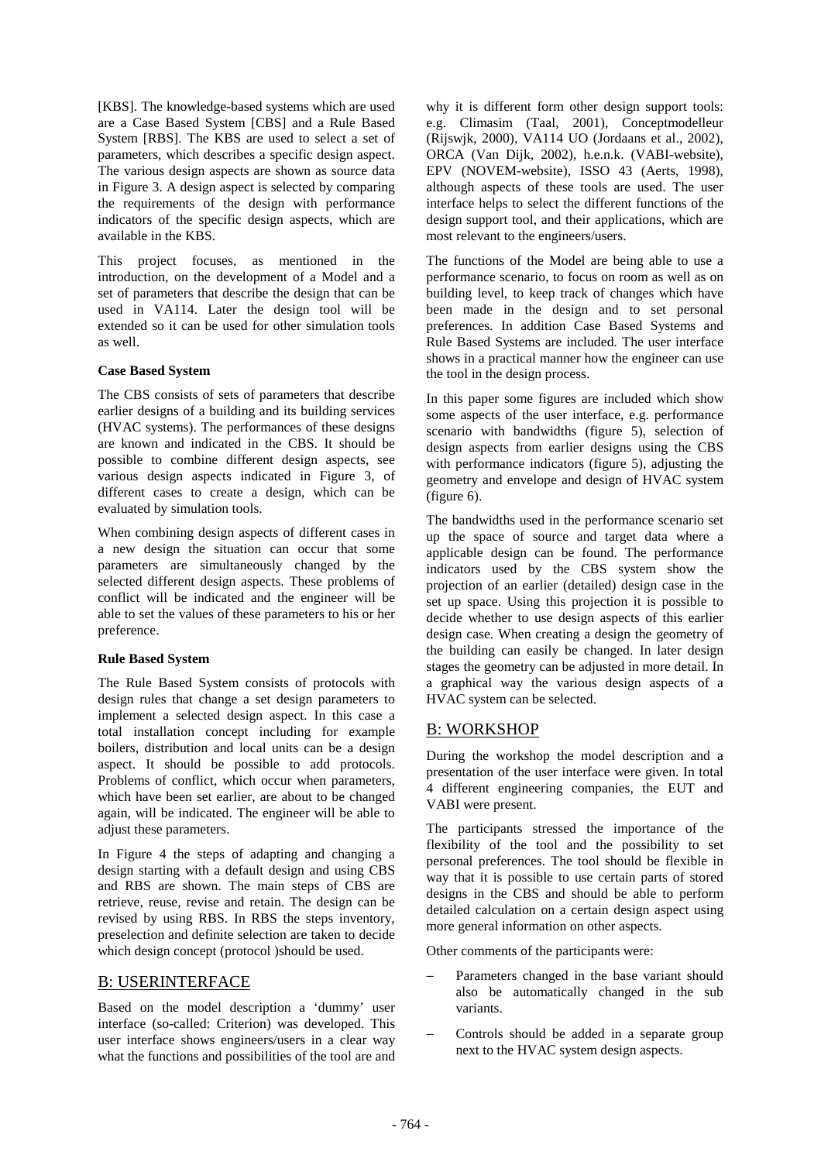[KBS]. The knowledge-based systems which are used are a Case Based System [CBS] and a Rule Based System [RBS]. The KBS are used to select a set of parameters, which describes a specific design aspect. The various design aspects are shown as source data in Figure 3. A design aspect is selected by comparing the requirements of the design with performance indicators of the specific design aspects, which are available in the KBS.

This project focuses, as mentioned in the introduction, on the development of a Model and a set of parameters that describe the design that can be used in VA114. Later the design tool will be extended so it can be used for other simulation tools as well.

#### **Case Based System**

The CBS consists of sets of parameters that describe earlier designs of a building and its building services (HVAC systems). The performances of these designs are known and indicated in the CBS. It should be possible to combine different design aspects, see various design aspects indicated in Figure 3, of different cases to create a design, which can be evaluated by simulation tools.

When combining design aspects of different cases in a new design the situation can occur that some parameters are simultaneously changed by the selected different design aspects. These problems of conflict will be indicated and the engineer will be able to set the values of these parameters to his or her preference.

#### **Rule Based System**

The Rule Based System consists of protocols with design rules that change a set design parameters to implement a selected design aspect. In this case a total installation concept including for example boilers, distribution and local units can be a design aspect. It should be possible to add protocols. Problems of conflict, which occur when parameters, which have been set earlier, are about to be changed again, will be indicated. The engineer will be able to adjust these parameters.

In Figure 4 the steps of adapting and changing a design starting with a default design and using CBS and RBS are shown. The main steps of CBS are retrieve, reuse, revise and retain. The design can be revised by using RBS. In RBS the steps inventory, preselection and definite selection are taken to decide which design concept (protocol )should be used.

## B: USERINTERFACE

Based on the model description a 'dummy' user interface (so-called: Criterion) was developed. This user interface shows engineers/users in a clear way what the functions and possibilities of the tool are and

why it is different form other design support tools: e.g. Climasim (Taal, 2001), Conceptmodelleur (Rijswjk, 2000), VA114 UO (Jordaans et al., 2002), ORCA (Van Dijk, 2002), h.e.n.k. (VABI-website), EPV (NOVEM-website), ISSO 43 (Aerts, 1998), although aspects of these tools are used. The user interface helps to select the different functions of the design support tool, and their applications, which are most relevant to the engineers/users.

The functions of the Model are being able to use a performance scenario, to focus on room as well as on building level, to keep track of changes which have been made in the design and to set personal preferences. In addition Case Based Systems and Rule Based Systems are included. The user interface shows in a practical manner how the engineer can use the tool in the design process.

In this paper some figures are included which show some aspects of the user interface, e.g. performance scenario with bandwidths (figure 5), selection of design aspects from earlier designs using the CBS with performance indicators (figure 5), adjusting the geometry and envelope and design of HVAC system (figure 6).

The bandwidths used in the performance scenario set up the space of source and target data where a applicable design can be found. The performance indicators used by the CBS system show the projection of an earlier (detailed) design case in the set up space. Using this projection it is possible to decide whether to use design aspects of this earlier design case. When creating a design the geometry of the building can easily be changed. In later design stages the geometry can be adjusted in more detail. In a graphical way the various design aspects of a HVAC system can be selected.

## B: WORKSHOP

During the workshop the model description and a presentation of the user interface were given. In total 4 different engineering companies, the EUT and VABI were present.

The participants stressed the importance of the flexibility of the tool and the possibility to set personal preferences. The tool should be flexible in way that it is possible to use certain parts of stored designs in the CBS and should be able to perform detailed calculation on a certain design aspect using more general information on other aspects.

Other comments of the participants were:

- Parameters changed in the base variant should also be automatically changed in the sub variants.
- − Controls should be added in a separate group next to the HVAC system design aspects.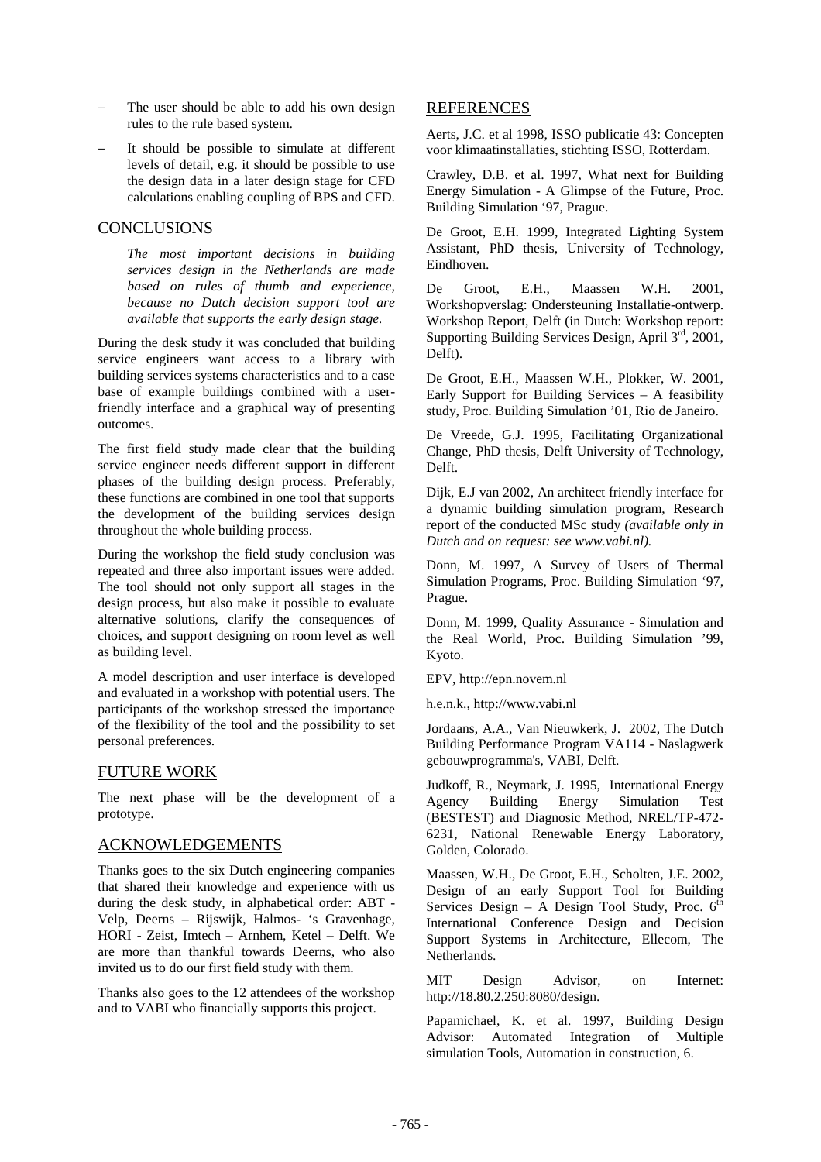- The user should be able to add his own design rules to the rule based system.
- It should be possible to simulate at different levels of detail, e.g. it should be possible to use the design data in a later design stage for CFD calculations enabling coupling of BPS and CFD.

### **CONCLUSIONS**

*The most important decisions in building services design in the Netherlands are made based on rules of thumb and experience, because no Dutch decision support tool are available that supports the early design stage.* 

During the desk study it was concluded that building service engineers want access to a library with building services systems characteristics and to a case base of example buildings combined with a userfriendly interface and a graphical way of presenting outcomes.

The first field study made clear that the building service engineer needs different support in different phases of the building design process. Preferably, these functions are combined in one tool that supports the development of the building services design throughout the whole building process.

During the workshop the field study conclusion was repeated and three also important issues were added. The tool should not only support all stages in the design process, but also make it possible to evaluate alternative solutions, clarify the consequences of choices, and support designing on room level as well as building level.

A model description and user interface is developed and evaluated in a workshop with potential users. The participants of the workshop stressed the importance of the flexibility of the tool and the possibility to set personal preferences.

## FUTURE WORK

The next phase will be the development of a prototype.

## ACKNOWLEDGEMENTS

Thanks goes to the six Dutch engineering companies that shared their knowledge and experience with us during the desk study, in alphabetical order: ABT - Velp, Deerns – Rijswijk, Halmos- 's Gravenhage, HORI - Zeist, Imtech – Arnhem, Ketel – Delft. We are more than thankful towards Deerns, who also invited us to do our first field study with them.

Thanks also goes to the 12 attendees of the workshop and to VABI who financially supports this project.

### REFERENCES

Aerts, J.C. et al 1998, ISSO publicatie 43: Concepten voor klimaatinstallaties, stichting ISSO, Rotterdam.

Crawley, D.B. et al. 1997, What next for Building Energy Simulation - A Glimpse of the Future, Proc. Building Simulation '97, Prague.

De Groot, E.H. 1999, Integrated Lighting System Assistant, PhD thesis, University of Technology, Eindhoven.

De Groot, E.H., Maassen W.H. 2001, Workshopverslag: Ondersteuning Installatie-ontwerp. Workshop Report, Delft (in Dutch: Workshop report: Supporting Building Services Design, April  $3<sup>rd</sup>$ , 2001, Delft).

De Groot, E.H., Maassen W.H., Plokker, W. 2001, Early Support for Building Services – A feasibility study, Proc. Building Simulation '01, Rio de Janeiro.

De Vreede, G.J. 1995, Facilitating Organizational Change, PhD thesis, Delft University of Technology, Delft.

Dijk, E.J van 2002, An architect friendly interface for a dynamic building simulation program, Research report of the conducted MSc study *(available only in Dutch and on request: see www.vabi.nl).*

Donn, M. 1997, A Survey of Users of Thermal Simulation Programs, Proc. Building Simulation '97, Prague.

Donn, M. 1999, Quality Assurance - Simulation and the Real World, Proc. Building Simulation '99, Kyoto.

EPV, http://epn.novem.nl

h.e.n.k., http://www.vabi.nl

Jordaans, A.A., Van Nieuwkerk, J. 2002, The Dutch Building Performance Program VA114 - Naslagwerk gebouwprogramma's, VABI, Delft.

Judkoff, R., Neymark, J. 1995, International Energy Agency Building Energy Simulation Test (BESTEST) and Diagnosic Method, NREL/TP-472- 6231, National Renewable Energy Laboratory, Golden, Colorado.

Maassen, W.H., De Groot, E.H., Scholten, J.E. 2002, Design of an early Support Tool for Building Services Design – A Design Tool Study, Proc.  $6<sup>th</sup>$ International Conference Design and Decision Support Systems in Architecture, Ellecom, The Netherlands.

MIT Design Advisor, on Internet: http://18.80.2.250:8080/design.

Papamichael, K. et al. 1997, Building Design Advisor: Automated Integration of Multiple simulation Tools, Automation in construction, 6.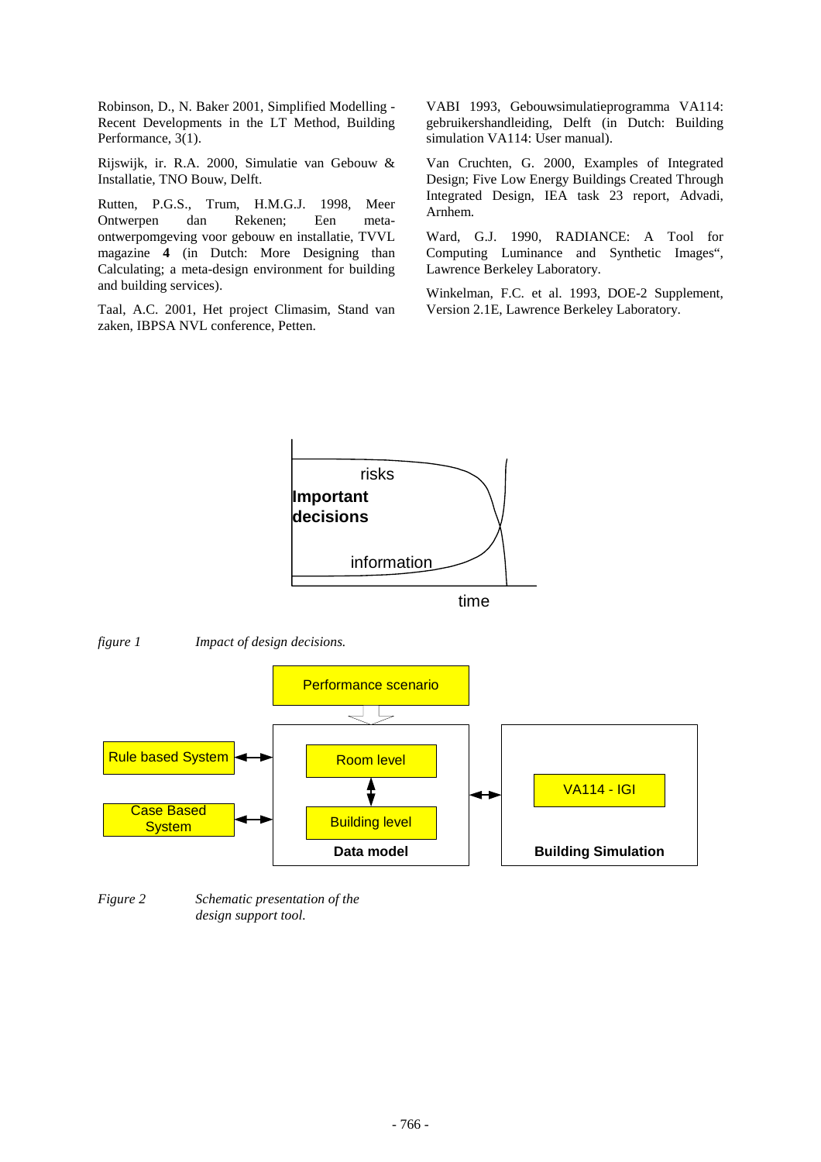Robinson, D., N. Baker 2001, Simplified Modelling - Recent Developments in the LT Method, Building Performance, 3(1).

Rijswijk, ir. R.A. 2000, Simulatie van Gebouw & Installatie, TNO Bouw, Delft.

Rutten, P.G.S., Trum, H.M.G.J. 1998, Meer Ontwerpen dan Rekenen; Een metaontwerpomgeving voor gebouw en installatie, TVVL magazine **4** (in Dutch: More Designing than Calculating; a meta-design environment for building and building services).

Taal, A.C. 2001, Het project Climasim, Stand van zaken, IBPSA NVL conference, Petten.

VABI 1993, Gebouwsimulatieprogramma VA114: gebruikershandleiding, Delft (in Dutch: Building simulation VA114: User manual).

Van Cruchten, G. 2000, Examples of Integrated Design; Five Low Energy Buildings Created Through Integrated Design, IEA task 23 report, Advadi, Arnhem.

Ward, G.J. 1990, RADIANCE: A Tool for Computing Luminance and Synthetic Images", Lawrence Berkeley Laboratory.

Winkelman, F.C. et al. 1993, DOE-2 Supplement, Version 2.1E, Lawrence Berkeley Laboratory.







*Figure 2 Schematic presentation of the design support tool.*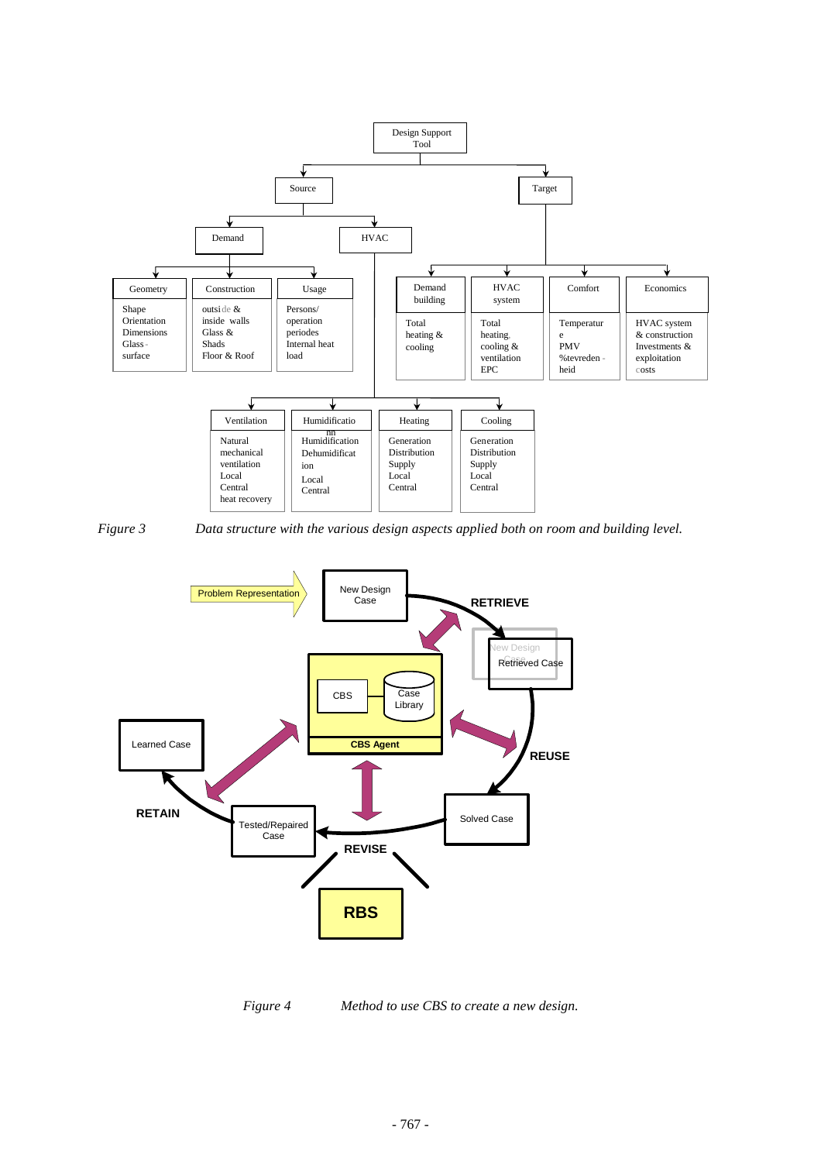



*Figure 3 Data structure with the various design aspects applied both on room and building level.* 



*Figure 4 Method to use CBS to create a new design.*